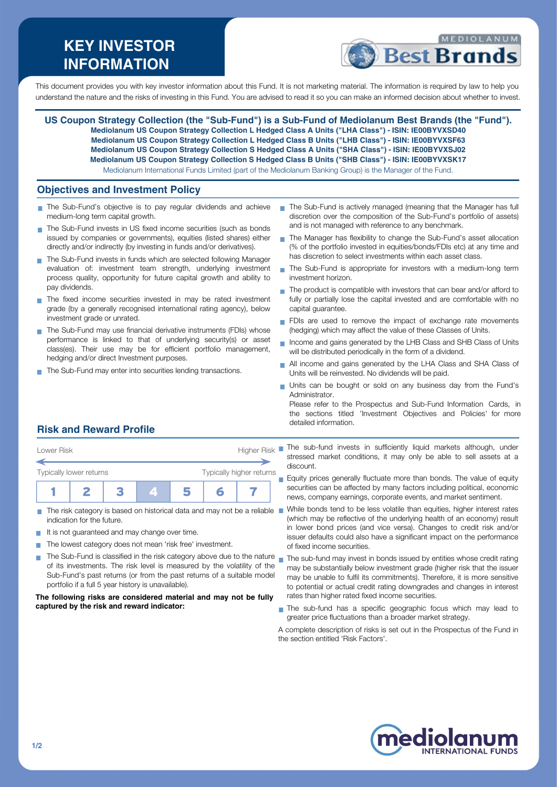# **KEY INVESTOR INFORMATION**



This document provides you with key investor information about this Fund. It is not marketing material. The information is required by law to help you understand the nature and the risks of investing in this Fund. You are advised to read it so you can make an informed decision about whether to invest.

**US Coupon Strategy Collection (the "Sub-Fund") is a Sub-Fund of Mediolanum Best Brands (the "Fund"). Mediolanum US Coupon Strategy Collection L Hedged Class A Units ("LHA Class") - ISIN: IE00BYVXSD40 Mediolanum US Coupon Strategy Collection L Hedged Class B Units ("LHB Class") - ISIN: IE00BYVXSF63 Mediolanum US Coupon Strategy Collection S Hedged Class A Units ("SHA Class") - ISIN: IE00BYVXSJ02 Mediolanum US Coupon Strategy Collection S Hedged Class B Units ("SHB Class") - ISIN: IE00BYVXSK17** Mediolanum International Funds Limited (part of the Mediolanum Banking Group) is the Manager of the Fund.

#### **Objectives and Investment Policy**

- The Sub-Fund's objective is to pay regular dividends and achieve medium-long term capital growth.
- The Sub-Fund invests in US fixed income securities (such as bonds issued by companies or governments), equities (listed shares) either directly and/or indirectly (by investing in funds and/or derivatives).
- The Sub-Fund invests in funds which are selected following Manager evaluation of: investment team strength, underlying investment process quality, opportunity for future capital growth and ability to pay dividends.
- The fixed income securities invested in may be rated investment grade (by a generally recognised international rating agency), below investment grade or unrated.
- The Sub-Fund may use financial derivative instruments (FDIs) whose performance is linked to that of underlying security(s) or asset class(es). Their use may be for efficient portfolio management, hedging and/or direct Investment purposes.
- The Sub-Fund may enter into securities lending transactions.
- The Sub-Fund is actively managed (meaning that the Manager has full discretion over the composition of the Sub-Fund's portfolio of assets) and is not managed with reference to any benchmark.
- The Manager has flexibility to change the Sub-Fund's asset allocation (% of the portfolio invested in equities/bonds/FDIs etc) at any time and has discretion to select investments within each asset class.
- The Sub-Fund is appropriate for investors with a medium-long term  $\mathbf{r}$ investment horizon.
- $\blacksquare$  The product is compatible with investors that can bear and/or afford to fully or partially lose the capital invested and are comfortable with no capital guarantee.
- FDIs are used to remove the impact of exchange rate movements (hedging) which may affect the value of these Classes of Units.
- Income and gains generated by the LHB Class and SHB Class of Units  $\overline{\phantom{a}}$ will be distributed periodically in the form of a dividend.
- All income and gains generated by the LHA Class and SHA Class of Units will be reinvested. No dividends will be paid.
- Units can be bought or sold on any business day from the Fund's **Administrator**

Please refer to the Prospectus and Sub-Fund Information Cards, in the sections titled 'Investment Objectives and Policies' for more detailed information.

### **Risk and Reward Profile**

| Lower Risk              |  |  | <b>Higher Risk</b>       |  |  |  |  |
|-------------------------|--|--|--------------------------|--|--|--|--|
| Typically lower returns |  |  | Typically higher returns |  |  |  |  |
|                         |  |  |                          |  |  |  |  |

- The risk category is based on historical data and may not be a reliable indication for the future.
- It is not guaranteed and may change over time.
- The lowest category does not mean 'risk free' investment.  $\mathcal{C}^{\mathcal{A}}$
- The Sub-Fund is classified in the risk category above due to the nature  $\sim$ of its investments. The risk level is measured by the volatility of the Sub-Fund's past returns (or from the past returns of a suitable model portfolio if a full 5 year history is unavailable).

#### **The following risks are considered material and may not be fully captured by the risk and reward indicator:**

The sub-fund invests in sufficiently liquid markets although, under stressed market conditions, it may only be able to sell assets at a discount.

 $\blacksquare$  Equity prices generally fluctuate more than bonds. The value of equity securities can be affected by many factors including political, economic news, company earnings, corporate events, and market sentiment.

- While bonds tend to be less volatile than equities, higher interest rates (which may be reflective of the underlying health of an economy) result in lower bond prices (and vice versa). Changes to credit risk and/or issuer defaults could also have a significant impact on the performance of fixed income securities.
- The sub-fund may invest in bonds issued by entities whose credit rating may be substantially below investment grade (higher risk that the issuer may be unable to fulfil its commitments). Therefore, it is more sensitive to potential or actual credit rating downgrades and changes in interest rates than higher rated fixed income securities.
- The sub-fund has a specific geographic focus which may lead to greater price fluctuations than a broader market strategy.

A complete description of risks is set out in the Prospectus of the Fund in the section entitled 'Risk Factors'.